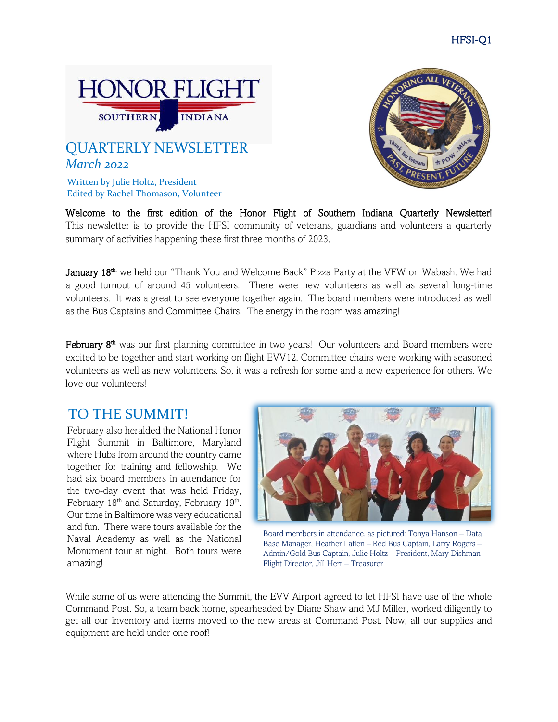

# *March 2022* QUARTERLY NEWSLETTER

Written by Julie Holtz, President Edited by Rachel Thomason, Volunteer

Welcome to the first edition of the Honor Flight of Southern Indiana Quarterly Newsletter! This newsletter is to provide the HFSI community of veterans, guardians and volunteers a quarterly summary of activities happening these first three months of 2023.

January 18<sup>th</sup>, we held our "Thank You and Welcome Back" Pizza Party at the VFW on Wabash. We had a good turnout of around 45 volunteers. There were new volunteers as well as several long-time volunteers. It was a great to see everyone together again. The board members were introduced as well as the Bus Captains and Committee Chairs. The energy in the room was amazing!

February 8<sup>th</sup> was our first planning committee in two years! Our volunteers and Board members were excited to be together and start working on flight EVV12. Committee chairs were working with seasoned volunteers as well as new volunteers. So, it was a refresh for some and a new experience for others. We love our volunteers!

### TO THE SUMMIT!

February also heralded the National Honor Flight Summit in Baltimore, Maryland where Hubs from around the country came together for training and fellowship. We had six board members in attendance for the two-day event that was held Friday, February 18<sup>th</sup> and Saturday, February 19<sup>th</sup>. Our time in Baltimore was very educational and fun. There were tours available for the Naval Academy as well as the National Monument tour at night. Both tours were amazing!



Board members in attendance, as pictured: Tonya Hanson – Data Base Manager, Heather Laflen – Red Bus Captain, Larry Rogers – Admin/Gold Bus Captain, Julie Holtz – President, Mary Dishman – Flight Director, Jill Herr – Treasurer

While some of us were attending the Summit, the EVV Airport agreed to let HFSI have use of the whole Command Post. So, a team back home, spearheaded by Diane Shaw and MJ Miller, worked diligently to get all our inventory and items moved to the new areas at Command Post. Now, all our supplies and equipment are held under one roof!

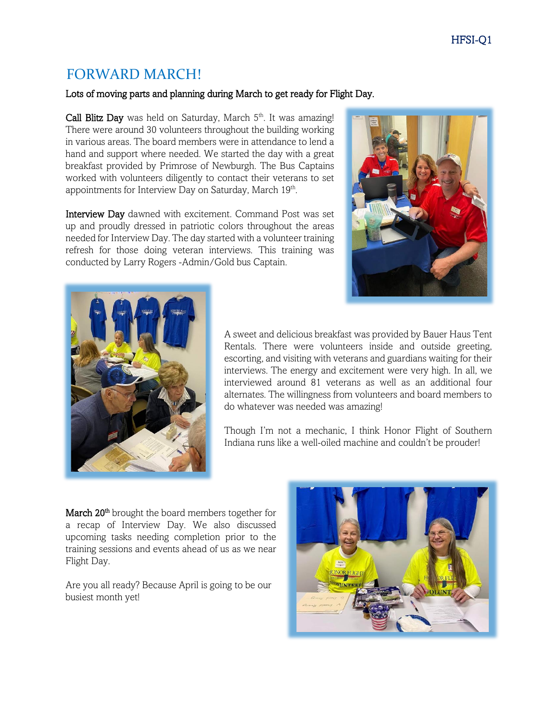## FORWARD MARCH!

#### Lots of moving parts and planning during March to get ready for Flight Day.

Call Blitz Day was held on Saturday, March 5<sup>th</sup>. It was amazing! There were around 30 volunteers throughout the building working in various areas. The board members were in attendance to lend a hand and support where needed. We started the day with a great breakfast provided by Primrose of Newburgh. The Bus Captains worked with volunteers diligently to contact their veterans to set appointments for Interview Day on Saturday, March 19<sup>th</sup>.

Interview Day dawned with excitement. Command Post was set up and proudly dressed in patriotic colors throughout the areas needed for Interview Day. The day started with a volunteer training refresh for those doing veteran interviews. This training was conducted by Larry Rogers -Admin/Gold bus Captain.





A sweet and delicious breakfast was provided by Bauer Haus Tent Rentals. There were volunteers inside and outside greeting, escorting, and visiting with veterans and guardians waiting for their interviews. The energy and excitement were very high. In all, we interviewed around 81 veterans as well as an additional four alternates. The willingness from volunteers and board members to do whatever was needed was amazing!

Though I'm not a mechanic, I think Honor Flight of Southern Indiana runs like a well-oiled machine and couldn't be prouder!

March 20<sup>th</sup> brought the board members together for a recap of Interview Day. We also discussed upcoming tasks needing completion prior to the training sessions and events ahead of us as we near Flight Day.

Are you all ready? Because April is going to be our busiest month yet!